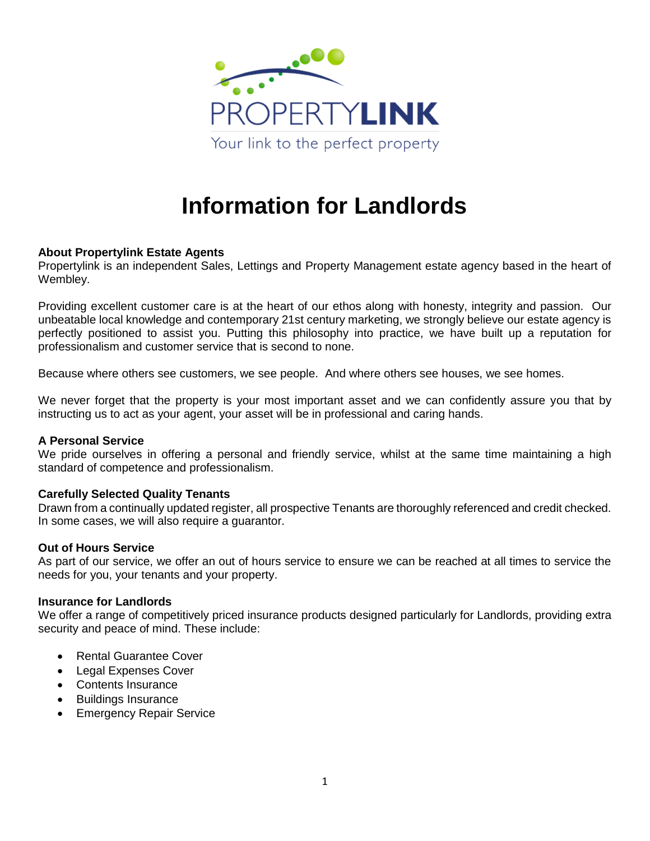

# **Information for Landlords**

### **About Propertylink Estate Agents**

Propertylink is an independent Sales, Lettings and Property Management estate agency based in the heart of Wembley.

Providing excellent customer care is at the heart of our ethos along with honesty, integrity and passion. Our unbeatable local knowledge and contemporary 21st century marketing, we strongly believe our estate agency is perfectly positioned to assist you. Putting this philosophy into practice, we have built up a reputation for professionalism and customer service that is second to none.

Because where others see customers, we see people. And where others see houses, we see homes.

We never forget that the property is your most important asset and we can confidently assure you that by instructing us to act as your agent, your asset will be in professional and caring hands.

### **A Personal Service**

We pride ourselves in offering a personal and friendly service, whilst at the same time maintaining a high standard of competence and professionalism.

### **Carefully Selected Quality Tenants**

Drawn from a continually updated register, all prospective Tenants are thoroughly referenced and credit checked. In some cases, we will also require a guarantor.

#### **Out of Hours Service**

As part of our service, we offer an out of hours service to ensure we can be reached at all times to service the needs for you, your tenants and your property.

### **Insurance for Landlords**

We offer a range of competitively priced insurance products designed particularly for Landlords, providing extra security and peace of mind. These include:

- Rental Guarantee Cover
- Legal Expenses Cover
- Contents Insurance
- Buildings Insurance
- **•** Emergency Repair Service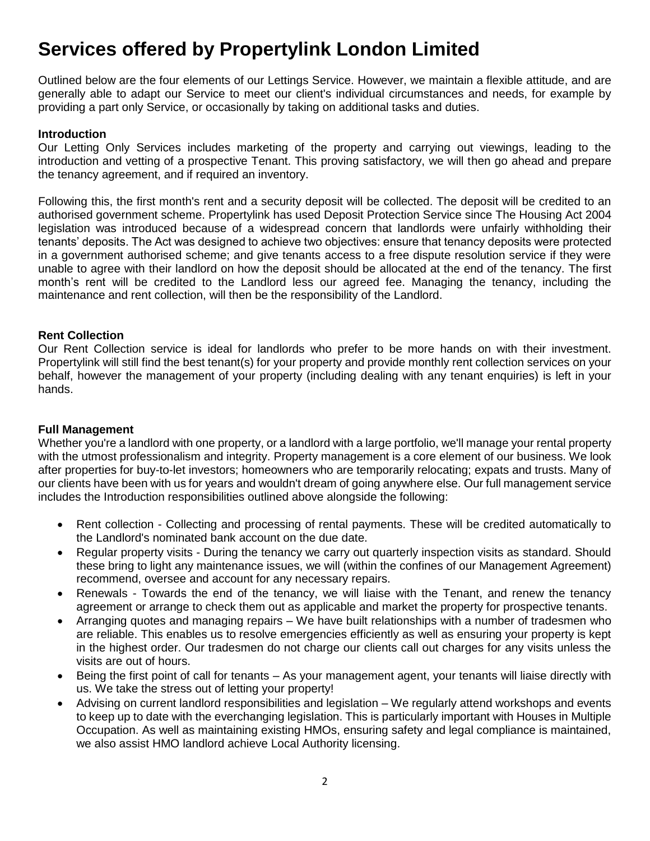# **Services offered by Propertylink London Limited**

Outlined below are the four elements of our Lettings Service. However, we maintain a flexible attitude, and are generally able to adapt our Service to meet our client's individual circumstances and needs, for example by providing a part only Service, or occasionally by taking on additional tasks and duties.

# **Introduction**

Our Letting Only Services includes marketing of the property and carrying out viewings, leading to the introduction and vetting of a prospective Tenant. This proving satisfactory, we will then go ahead and prepare the tenancy agreement, and if required an inventory.

Following this, the first month's rent and a security deposit will be collected. The deposit will be credited to an authorised government scheme. Propertylink has used Deposit Protection Service since The Housing Act 2004 legislation was introduced because of a widespread concern that landlords were unfairly withholding their tenants' deposits. The Act was designed to achieve two objectives: ensure that tenancy deposits were protected in a government authorised scheme; and give tenants access to a free dispute resolution service if they were unable to agree with their landlord on how the deposit should be allocated at the end of the tenancy. The first month's rent will be credited to the Landlord less our agreed fee. Managing the tenancy, including the maintenance and rent collection, will then be the responsibility of the Landlord.

### **Rent Collection**

Our Rent Collection service is ideal for landlords who prefer to be more hands on with their investment. Propertylink will still find the best tenant(s) for your property and provide monthly rent collection services on your behalf, however the management of your property (including dealing with any tenant enquiries) is left in your hands.

# **Full Management**

Whether you're a landlord with one property, or a landlord with a large portfolio, we'll manage your rental property with the utmost professionalism and integrity. Property management is a core element of our business. We look after properties for buy-to-let investors; homeowners who are temporarily relocating; expats and trusts. Many of our clients have been with us for years and wouldn't dream of going anywhere else. Our full management service includes the Introduction responsibilities outlined above alongside the following:

- Rent collection Collecting and processing of rental payments. These will be credited automatically to the Landlord's nominated bank account on the due date.
- Regular property visits During the tenancy we carry out quarterly inspection visits as standard. Should these bring to light any maintenance issues, we will (within the confines of our Management Agreement) recommend, oversee and account for any necessary repairs.
- Renewals Towards the end of the tenancy, we will liaise with the Tenant, and renew the tenancy agreement or arrange to check them out as applicable and market the property for prospective tenants.
- Arranging quotes and managing repairs We have built relationships with a number of tradesmen who are reliable. This enables us to resolve emergencies efficiently as well as ensuring your property is kept in the highest order. Our tradesmen do not charge our clients call out charges for any visits unless the visits are out of hours.
- Being the first point of call for tenants As your management agent, your tenants will liaise directly with us. We take the stress out of letting your property!
- Advising on current landlord responsibilities and legislation We regularly attend workshops and events to keep up to date with the everchanging legislation. This is particularly important with Houses in Multiple Occupation. As well as maintaining existing HMOs, ensuring safety and legal compliance is maintained, we also assist HMO landlord achieve Local Authority licensing.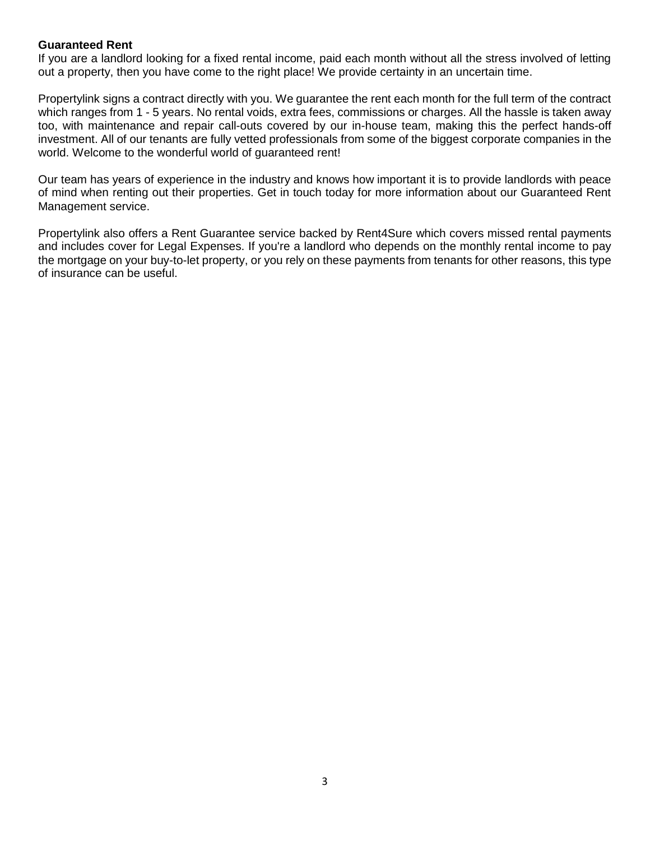### **Guaranteed Rent**

If you are a landlord looking for a fixed rental income, paid each month without all the stress involved of letting out a property, then you have come to the right place! We provide certainty in an uncertain time.

Propertylink signs a contract directly with you. We guarantee the rent each month for the full term of the contract which ranges from 1 - 5 years. No rental voids, extra fees, commissions or charges. All the hassle is taken away too, with maintenance and repair call-outs covered by our in-house team, making this the perfect hands-off investment. All of our tenants are fully vetted professionals from some of the biggest corporate companies in the world. Welcome to the wonderful world of guaranteed rent!

Our team has years of experience in the industry and knows how important it is to provide landlords with peace of mind when renting out their properties. Get in touch today for more information about our Guaranteed Rent Management service.

Propertylink also offers a Rent Guarantee service backed by Rent4Sure which covers missed rental payments and includes cover for Legal Expenses. If you're a landlord who depends on the monthly rental income to pay the mortgage on your buy-to-let property, or you rely on these payments from tenants for other reasons, this type of insurance can be useful.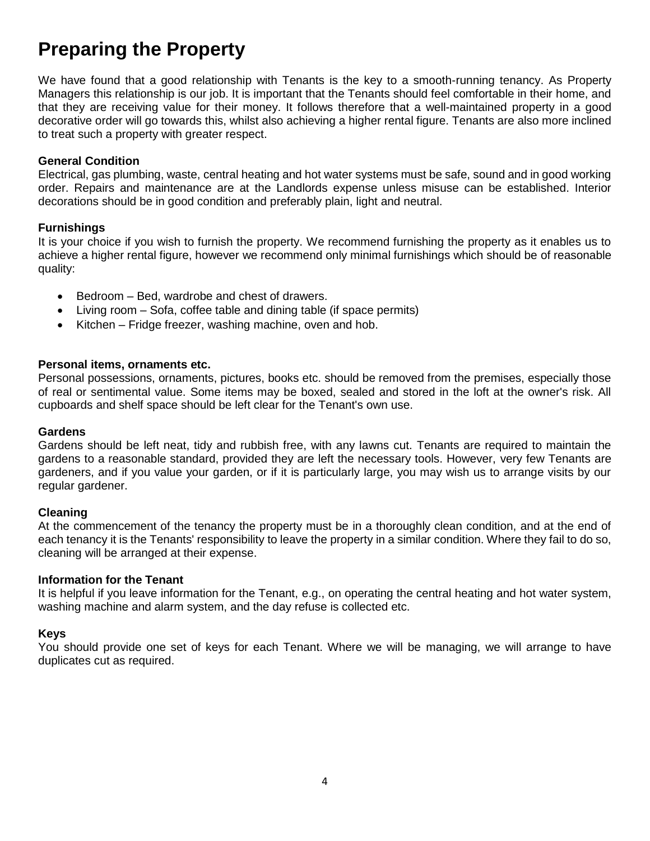# **Preparing the Property**

We have found that a good relationship with Tenants is the key to a smooth-running tenancy. As Property Managers this relationship is our job. It is important that the Tenants should feel comfortable in their home, and that they are receiving value for their money. It follows therefore that a well-maintained property in a good decorative order will go towards this, whilst also achieving a higher rental figure. Tenants are also more inclined to treat such a property with greater respect.

### **General Condition**

Electrical, gas plumbing, waste, central heating and hot water systems must be safe, sound and in good working order. Repairs and maintenance are at the Landlords expense unless misuse can be established. Interior decorations should be in good condition and preferably plain, light and neutral.

### **Furnishings**

It is your choice if you wish to furnish the property. We recommend furnishing the property as it enables us to achieve a higher rental figure, however we recommend only minimal furnishings which should be of reasonable quality:

- Bedroom Bed, wardrobe and chest of drawers.
- Living room Sofa, coffee table and dining table (if space permits)
- $\bullet$  Kitchen Fridge freezer, washing machine, oven and hob.

### **Personal items, ornaments etc.**

Personal possessions, ornaments, pictures, books etc. should be removed from the premises, especially those of real or sentimental value. Some items may be boxed, sealed and stored in the loft at the owner's risk. All cupboards and shelf space should be left clear for the Tenant's own use.

### **Gardens**

Gardens should be left neat, tidy and rubbish free, with any lawns cut. Tenants are required to maintain the gardens to a reasonable standard, provided they are left the necessary tools. However, very few Tenants are gardeners, and if you value your garden, or if it is particularly large, you may wish us to arrange visits by our regular gardener.

# **Cleaning**

At the commencement of the tenancy the property must be in a thoroughly clean condition, and at the end of each tenancy it is the Tenants' responsibility to leave the property in a similar condition. Where they fail to do so, cleaning will be arranged at their expense.

### **Information for the Tenant**

It is helpful if you leave information for the Tenant, e.g., on operating the central heating and hot water system, washing machine and alarm system, and the day refuse is collected etc.

### **Keys**

You should provide one set of keys for each Tenant. Where we will be managing, we will arrange to have duplicates cut as required.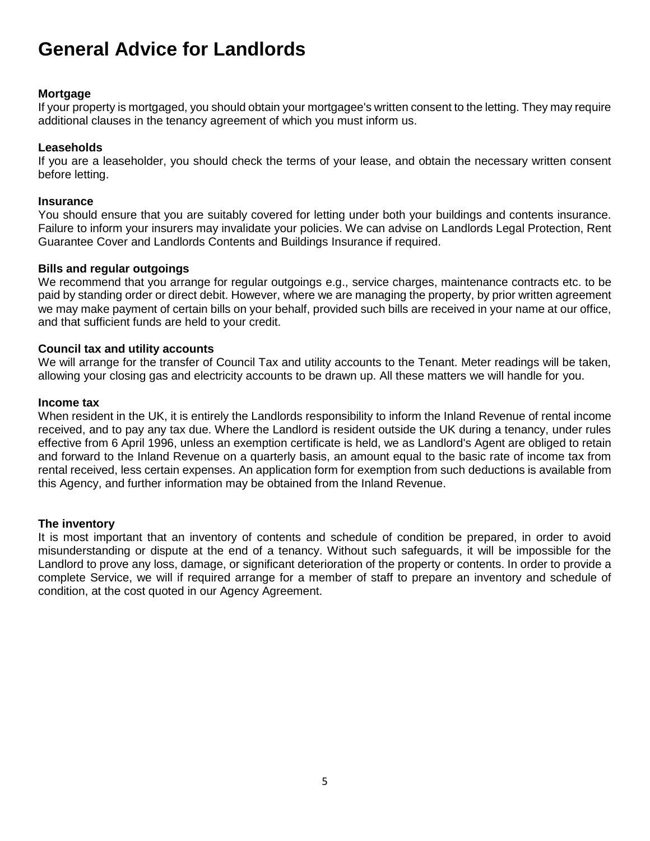# **General Advice for Landlords**

# **Mortgage**

If your property is mortgaged, you should obtain your mortgagee's written consent to the letting. They may require additional clauses in the tenancy agreement of which you must inform us.

# **Leaseholds**

If you are a leaseholder, you should check the terms of your lease, and obtain the necessary written consent before letting.

### **Insurance**

You should ensure that you are suitably covered for letting under both your buildings and contents insurance. Failure to inform your insurers may invalidate your policies. We can advise on Landlords Legal Protection, Rent Guarantee Cover and Landlords Contents and Buildings Insurance if required.

# **Bills and regular outgoings**

We recommend that you arrange for regular outgoings e.g., service charges, maintenance contracts etc. to be paid by standing order or direct debit. However, where we are managing the property, by prior written agreement we may make payment of certain bills on your behalf, provided such bills are received in your name at our office, and that sufficient funds are held to your credit.

### **Council tax and utility accounts**

We will arrange for the transfer of Council Tax and utility accounts to the Tenant. Meter readings will be taken, allowing your closing gas and electricity accounts to be drawn up. All these matters we will handle for you.

### **Income tax**

When resident in the UK, it is entirely the Landlords responsibility to inform the Inland Revenue of rental income received, and to pay any tax due. Where the Landlord is resident outside the UK during a tenancy, under rules effective from 6 April 1996, unless an exemption certificate is held, we as Landlord's Agent are obliged to retain and forward to the Inland Revenue on a quarterly basis, an amount equal to the basic rate of income tax from rental received, less certain expenses. An application form for exemption from such deductions is available from this Agency, and further information may be obtained from the Inland Revenue.

# **The inventory**

It is most important that an inventory of contents and schedule of condition be prepared, in order to avoid misunderstanding or dispute at the end of a tenancy. Without such safeguards, it will be impossible for the Landlord to prove any loss, damage, or significant deterioration of the property or contents. In order to provide a complete Service, we will if required arrange for a member of staff to prepare an inventory and schedule of condition, at the cost quoted in our Agency Agreement.